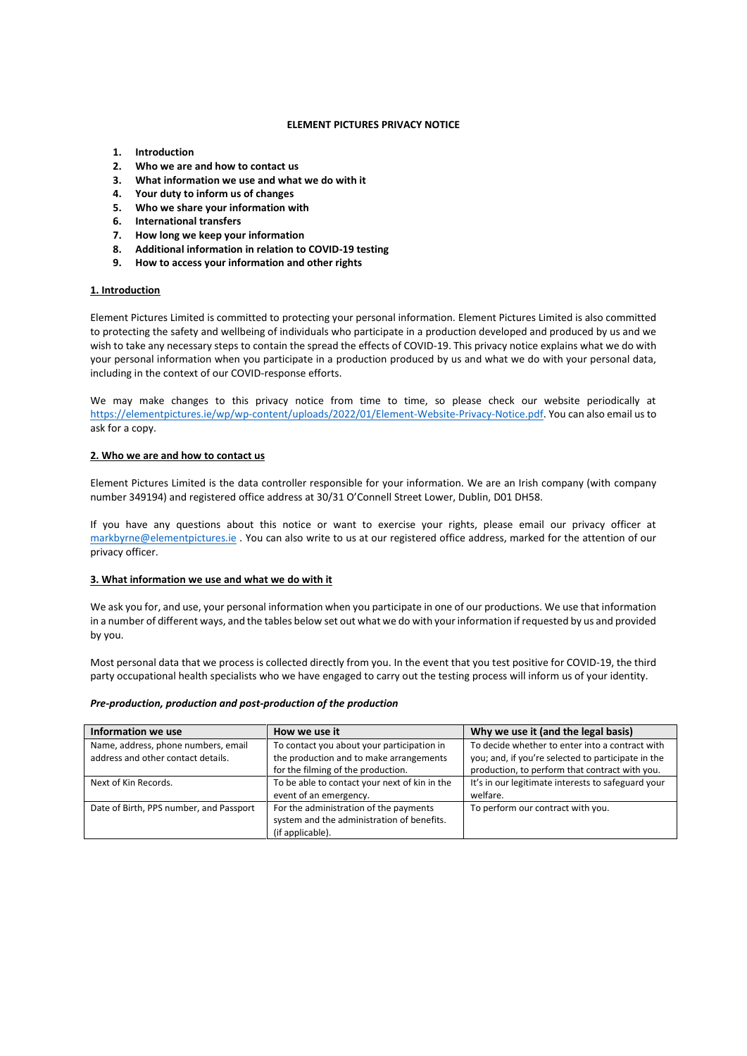#### **ELEMENT PICTURES PRIVACY NOTICE**

- **1. Introduction**
- **2. Who we are and how to contact us**
- **3. What information we use and what we do with it**
- **4. Your duty to inform us of changes**
- **5. Who we share your information with**
- **6. International transfers**
- **7. How long we keep your information**
- **8. Additional information in relation to COVID-19 testing**
- **9. How to access your information and other rights**

# **1. Introduction**

Element Pictures Limited is committed to protecting your personal information. Element Pictures Limited is also committed to protecting the safety and wellbeing of individuals who participate in a production developed and produced by us and we wish to take any necessary steps to contain the spread the effects of COVID-19. This privacy notice explains what we do with your personal information when you participate in a production produced by us and what we do with your personal data, including in the context of our COVID-response efforts.

We may make changes to this privacy notice from time to time, so please check our website periodically at [https://elementpictures.ie/wp/wp-content/uploads/2022/01/Element-Website-Privacy-Notice.pdf.](https://elementpictures.ie/wp/wp-content/uploads/2022/01/Element-Website-Privacy-Notice.pdf) You can also email us to ask for a copy.

# **2. Who we are and how to contact us**

Element Pictures Limited is the data controller responsible for your information. We are an Irish company (with company number 349194) and registered office address at 30/31 O'Connell Street Lower, Dublin, D01 DH58.

If you have any questions about this notice or want to exercise your rights, please email our privacy officer at [markbyrne@elementpictures.ie](mailto:markbyrne@elementpictures.ie) . You can also write to us at our registered office address, marked for the attention of our privacy officer.

# **3. What information we use and what we do with it**

We ask you for, and use, your personal information when you participate in one of our productions. We use that information in a number of different ways, and the tables below set out what we do with your information if requested by us and provided by you.

Most personal data that we process is collected directly from you. In the event that you test positive for COVID-19, the third party occupational health specialists who we have engaged to carry out the testing process will inform us of your identity.

#### *Pre-production, production and post-production of the production*

| Information we use                                                        | How we use it                                                                                                               | Why we use it (and the legal basis)                                                                                                                     |
|---------------------------------------------------------------------------|-----------------------------------------------------------------------------------------------------------------------------|---------------------------------------------------------------------------------------------------------------------------------------------------------|
| Name, address, phone numbers, email<br>address and other contact details. | To contact you about your participation in<br>the production and to make arrangements<br>for the filming of the production. | To decide whether to enter into a contract with<br>you; and, if you're selected to participate in the<br>production, to perform that contract with you. |
| Next of Kin Records.                                                      | To be able to contact your next of kin in the<br>event of an emergency.                                                     | It's in our legitimate interests to safeguard your<br>welfare.                                                                                          |
| Date of Birth, PPS number, and Passport                                   | For the administration of the payments<br>system and the administration of benefits.<br>(if applicable).                    | To perform our contract with you.                                                                                                                       |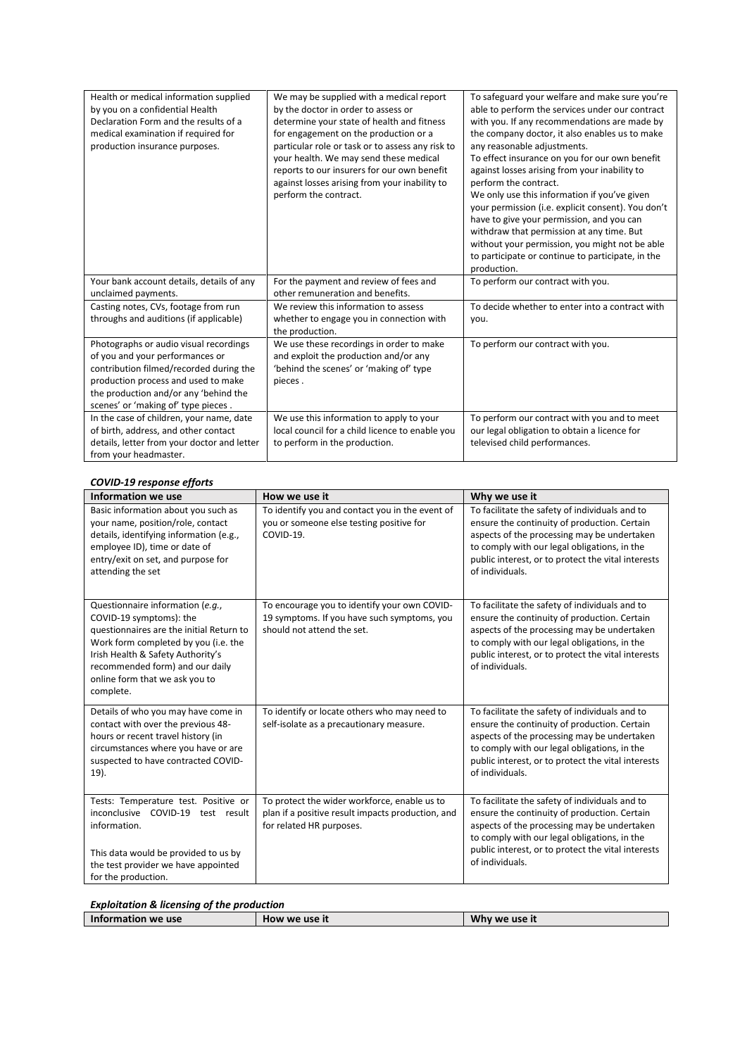| Health or medical information supplied<br>by you on a confidential Health<br>Declaration Form and the results of a<br>medical examination if required for<br>production insurance purposes.                                                 | We may be supplied with a medical report<br>by the doctor in order to assess or<br>determine your state of health and fitness<br>for engagement on the production or a<br>particular role or task or to assess any risk to<br>your health. We may send these medical<br>reports to our insurers for our own benefit<br>against losses arising from your inability to<br>perform the contract. | To safeguard your welfare and make sure you're<br>able to perform the services under our contract<br>with you. If any recommendations are made by<br>the company doctor, it also enables us to make<br>any reasonable adjustments.<br>To effect insurance on you for our own benefit<br>against losses arising from your inability to<br>perform the contract.<br>We only use this information if you've given<br>your permission (i.e. explicit consent). You don't<br>have to give your permission, and you can<br>withdraw that permission at any time. But<br>without your permission, you might not be able<br>to participate or continue to participate, in the<br>production. |
|---------------------------------------------------------------------------------------------------------------------------------------------------------------------------------------------------------------------------------------------|-----------------------------------------------------------------------------------------------------------------------------------------------------------------------------------------------------------------------------------------------------------------------------------------------------------------------------------------------------------------------------------------------|--------------------------------------------------------------------------------------------------------------------------------------------------------------------------------------------------------------------------------------------------------------------------------------------------------------------------------------------------------------------------------------------------------------------------------------------------------------------------------------------------------------------------------------------------------------------------------------------------------------------------------------------------------------------------------------|
| Your bank account details, details of any<br>unclaimed payments.                                                                                                                                                                            | For the payment and review of fees and<br>other remuneration and benefits.                                                                                                                                                                                                                                                                                                                    | To perform our contract with you.                                                                                                                                                                                                                                                                                                                                                                                                                                                                                                                                                                                                                                                    |
| Casting notes, CVs, footage from run<br>throughs and auditions (if applicable)                                                                                                                                                              | We review this information to assess<br>whether to engage you in connection with<br>the production.                                                                                                                                                                                                                                                                                           | To decide whether to enter into a contract with<br>you.                                                                                                                                                                                                                                                                                                                                                                                                                                                                                                                                                                                                                              |
| Photographs or audio visual recordings<br>of you and your performances or<br>contribution filmed/recorded during the<br>production process and used to make<br>the production and/or any 'behind the<br>scenes' or 'making of' type pieces. | We use these recordings in order to make<br>and exploit the production and/or any<br>'behind the scenes' or 'making of' type<br>pieces.                                                                                                                                                                                                                                                       | To perform our contract with you.                                                                                                                                                                                                                                                                                                                                                                                                                                                                                                                                                                                                                                                    |
| In the case of children, your name, date<br>of birth, address, and other contact<br>details, letter from your doctor and letter<br>from your headmaster.                                                                                    | We use this information to apply to your<br>local council for a child licence to enable you<br>to perform in the production.                                                                                                                                                                                                                                                                  | To perform our contract with you and to meet<br>our legal obligation to obtain a licence for<br>televised child performances.                                                                                                                                                                                                                                                                                                                                                                                                                                                                                                                                                        |

# *COVID-19 response efforts*

| Information we use                                                                                                                                                                                                                                                     | How we use it                                                                                                                 | Why we use it                                                                                                                                                                                                                                                          |
|------------------------------------------------------------------------------------------------------------------------------------------------------------------------------------------------------------------------------------------------------------------------|-------------------------------------------------------------------------------------------------------------------------------|------------------------------------------------------------------------------------------------------------------------------------------------------------------------------------------------------------------------------------------------------------------------|
| Basic information about you such as<br>your name, position/role, contact<br>details, identifying information (e.g.,<br>employee ID), time or date of<br>entry/exit on set, and purpose for<br>attending the set                                                        | To identify you and contact you in the event of<br>you or someone else testing positive for<br>COVID-19.                      | To facilitate the safety of individuals and to<br>ensure the continuity of production. Certain<br>aspects of the processing may be undertaken<br>to comply with our legal obligations, in the<br>public interest, or to protect the vital interests<br>of individuals. |
| Questionnaire information (e.g.,<br>COVID-19 symptoms): the<br>questionnaires are the initial Return to<br>Work form completed by you (i.e. the<br>Irish Health & Safety Authority's<br>recommended form) and our daily<br>online form that we ask you to<br>complete. | To encourage you to identify your own COVID-<br>19 symptoms. If you have such symptoms, you<br>should not attend the set.     | To facilitate the safety of individuals and to<br>ensure the continuity of production. Certain<br>aspects of the processing may be undertaken<br>to comply with our legal obligations, in the<br>public interest, or to protect the vital interests<br>of individuals. |
| Details of who you may have come in<br>contact with over the previous 48-<br>hours or recent travel history (in<br>circumstances where you have or are<br>suspected to have contracted COVID-<br>$19$ ).                                                               | To identify or locate others who may need to<br>self-isolate as a precautionary measure.                                      | To facilitate the safety of individuals and to<br>ensure the continuity of production. Certain<br>aspects of the processing may be undertaken<br>to comply with our legal obligations, in the<br>public interest, or to protect the vital interests<br>of individuals. |
| Tests: Temperature test. Positive or<br>inconclusive COVID-19 test result<br>information.<br>This data would be provided to us by<br>the test provider we have appointed<br>for the production.                                                                        | To protect the wider workforce, enable us to<br>plan if a positive result impacts production, and<br>for related HR purposes. | To facilitate the safety of individuals and to<br>ensure the continuity of production. Certain<br>aspects of the processing may be undertaken<br>to comply with our legal obligations, in the<br>public interest, or to protect the vital interests<br>of individuals. |

| Why we use it |
|---------------|
|               |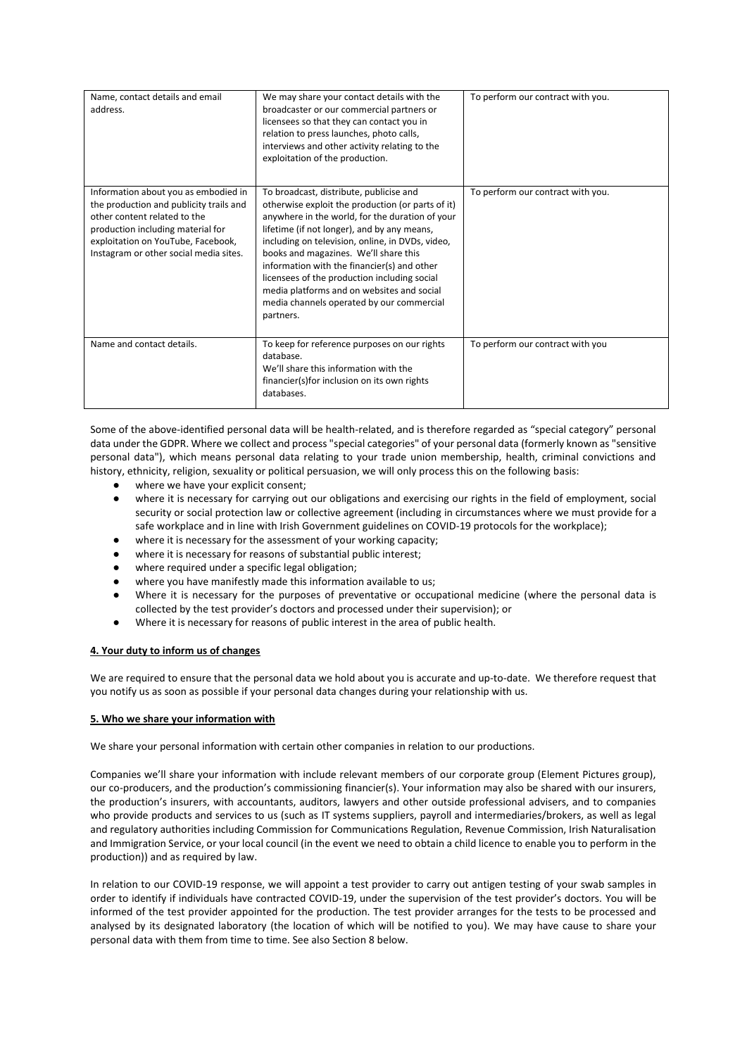| Name, contact details and email<br>address.                                                                                                                                                                                          | We may share your contact details with the<br>broadcaster or our commercial partners or<br>licensees so that they can contact you in<br>relation to press launches, photo calls,<br>interviews and other activity relating to the<br>exploitation of the production.                                                                                                                                                                                                                               | To perform our contract with you. |
|--------------------------------------------------------------------------------------------------------------------------------------------------------------------------------------------------------------------------------------|----------------------------------------------------------------------------------------------------------------------------------------------------------------------------------------------------------------------------------------------------------------------------------------------------------------------------------------------------------------------------------------------------------------------------------------------------------------------------------------------------|-----------------------------------|
| Information about you as embodied in<br>the production and publicity trails and<br>other content related to the<br>production including material for<br>exploitation on YouTube, Facebook,<br>Instagram or other social media sites. | To broadcast, distribute, publicise and<br>otherwise exploit the production (or parts of it)<br>anywhere in the world, for the duration of your<br>lifetime (if not longer), and by any means,<br>including on television, online, in DVDs, video,<br>books and magazines. We'll share this<br>information with the financier(s) and other<br>licensees of the production including social<br>media platforms and on websites and social<br>media channels operated by our commercial<br>partners. | To perform our contract with you. |
| Name and contact details.                                                                                                                                                                                                            | To keep for reference purposes on our rights<br>database.<br>We'll share this information with the<br>financier(s) for inclusion on its own rights<br>databases.                                                                                                                                                                                                                                                                                                                                   | To perform our contract with you  |

Some of the above-identified personal data will be health-related, and is therefore regarded as "special category" personal data under the GDPR. Where we collect and process "special categories" of your personal data (formerly known as "sensitive personal data"), which means personal data relating to your trade union membership, health, criminal convictions and history, ethnicity, religion, sexuality or political persuasion, we will only process this on the following basis:

- where we have your explicit consent;
- where it is necessary for carrying out our obligations and exercising our rights in the field of employment, social security or social protection law or collective agreement (including in circumstances where we must provide for a safe workplace and in line with Irish Government guidelines on COVID-19 protocols for the workplace);
- where it is necessary for the assessment of your working capacity;
- where it is necessary for reasons of substantial public interest;
- where required under a specific legal obligation;
- where you have manifestly made this information available to us:
- Where it is necessary for the purposes of preventative or occupational medicine (where the personal data is collected by the test provider's doctors and processed under their supervision); or
- Where it is necessary for reasons of public interest in the area of public health.

# **4. Your duty to inform us of changes**

We are required to ensure that the personal data we hold about you is accurate and up-to-date. We therefore request that you notify us as soon as possible if your personal data changes during your relationship with us.

# **5. Who we share your information with**

We share your personal information with certain other companies in relation to our productions.

Companies we'll share your information with include relevant members of our corporate group (Element Pictures group), our co-producers, and the production's commissioning financier(s). Your information may also be shared with our insurers, the production's insurers, with accountants, auditors, lawyers and other outside professional advisers, and to companies who provide products and services to us (such as IT systems suppliers, payroll and intermediaries/brokers, as well as legal and regulatory authorities including Commission for Communications Regulation, Revenue Commission, Irish Naturalisation and Immigration Service, or your local council (in the event we need to obtain a child licence to enable you to perform in the production)) and as required by law.

In relation to our COVID-19 response, we will appoint a test provider to carry out antigen testing of your swab samples in order to identify if individuals have contracted COVID-19, under the supervision of the test provider's doctors. You will be informed of the test provider appointed for the production. The test provider arranges for the tests to be processed and analysed by its designated laboratory (the location of which will be notified to you). We may have cause to share your personal data with them from time to time. See also Section 8 below.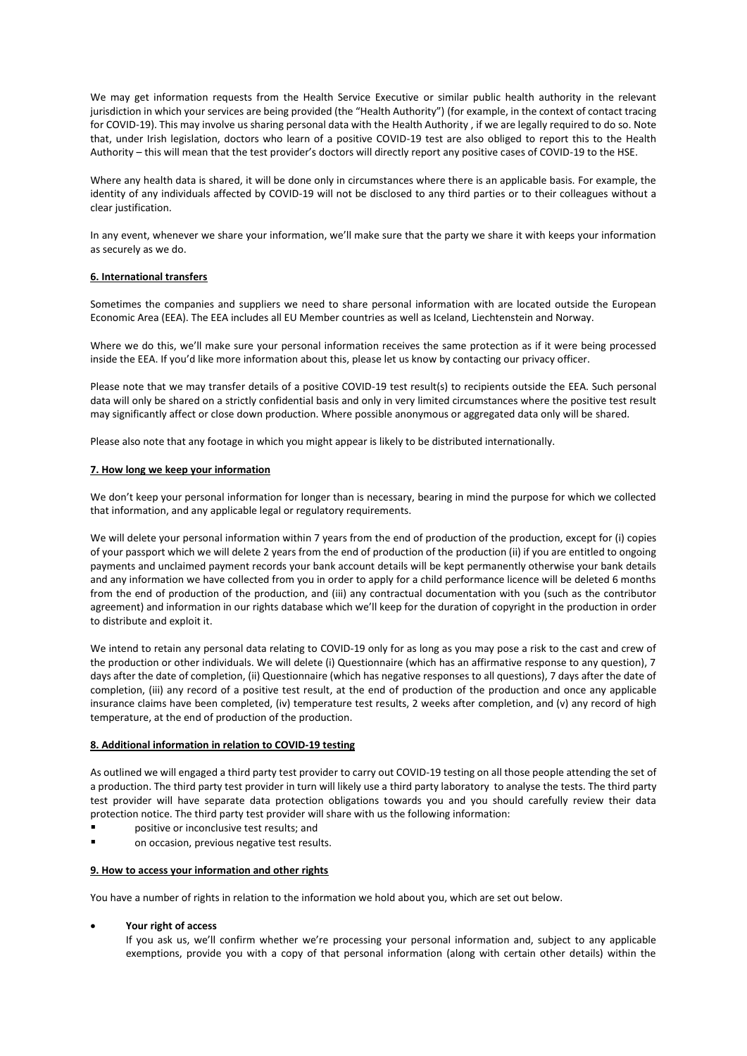We may get information requests from the Health Service Executive or similar public health authority in the relevant jurisdiction in which your services are being provided (the "Health Authority") (for example, in the context of contact tracing for COVID-19). This may involve us sharing personal data with the Health Authority , if we are legally required to do so. Note that, under Irish legislation, doctors who learn of a positive COVID-19 test are also obliged to report this to the Health Authority – this will mean that the test provider's doctors will directly report any positive cases of COVID-19 to the HSE.

Where any health data is shared, it will be done only in circumstances where there is an applicable basis. For example, the identity of any individuals affected by COVID-19 will not be disclosed to any third parties or to their colleagues without a clear justification.

In any event, whenever we share your information, we'll make sure that the party we share it with keeps your information as securely as we do.

# **6. International transfers**

Sometimes the companies and suppliers we need to share personal information with are located outside the European Economic Area (EEA). The EEA includes all EU Member countries as well as Iceland, Liechtenstein and Norway.

Where we do this, we'll make sure your personal information receives the same protection as if it were being processed inside the EEA. If you'd like more information about this, please let us know by contacting our privacy officer.

Please note that we may transfer details of a positive COVID-19 test result(s) to recipients outside the EEA. Such personal data will only be shared on a strictly confidential basis and only in very limited circumstances where the positive test result may significantly affect or close down production. Where possible anonymous or aggregated data only will be shared.

Please also note that any footage in which you might appear is likely to be distributed internationally.

#### **7. How long we keep your information**

We don't keep your personal information for longer than is necessary, bearing in mind the purpose for which we collected that information, and any applicable legal or regulatory requirements.

We will delete your personal information within 7 years from the end of production of the production, except for (i) copies of your passport which we will delete 2 years from the end of production of the production (ii) if you are entitled to ongoing payments and unclaimed payment records your bank account details will be kept permanently otherwise your bank details and any information we have collected from you in order to apply for a child performance licence will be deleted 6 months from the end of production of the production, and (iii) any contractual documentation with you (such as the contributor agreement) and information in our rights database which we'll keep for the duration of copyright in the production in order to distribute and exploit it.

We intend to retain any personal data relating to COVID-19 only for as long as you may pose a risk to the cast and crew of the production or other individuals. We will delete (i) Questionnaire (which has an affirmative response to any question), 7 days after the date of completion, (ii) Questionnaire (which has negative responses to all questions), 7 days after the date of completion, (iii) any record of a positive test result, at the end of production of the production and once any applicable insurance claims have been completed, (iv) temperature test results, 2 weeks after completion, and (v) any record of high temperature, at the end of production of the production.

#### **8. Additional information in relation to COVID-19 testing**

As outlined we will engaged a third party test provider to carry out COVID-19 testing on all those people attending the set of a production. The third party test provider in turn will likely use a third party laboratory to analyse the tests. The third party test provider will have separate data protection obligations towards you and you should carefully review their data protection notice. The third party test provider will share with us the following information:

- positive or inconclusive test results; and
- on occasion, previous negative test results.

### **9. How to access your information and other rights**

You have a number of rights in relation to the information we hold about you, which are set out below.

# • **Your right of access**

If you ask us, we'll confirm whether we're processing your personal information and, subject to any applicable exemptions, provide you with a copy of that personal information (along with certain other details) within the